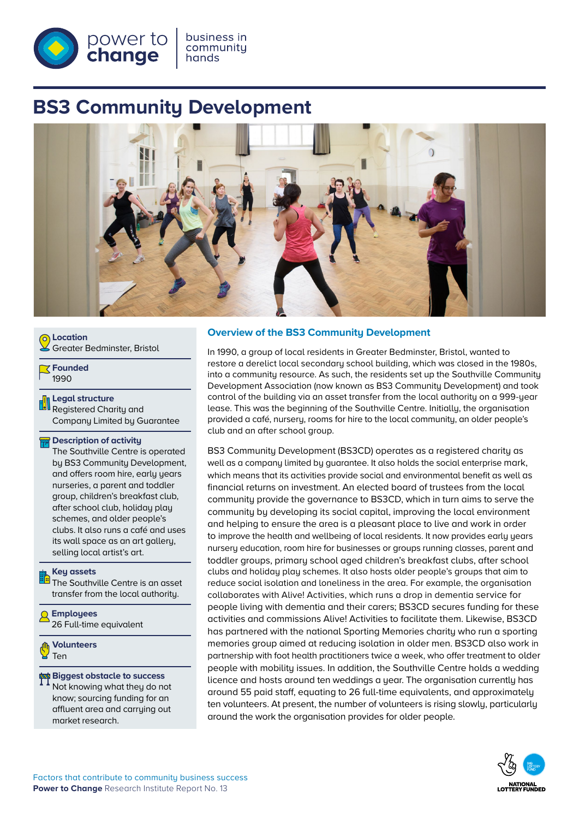

# **BS3 Community Development**



| <b>O</b> Location<br>Greater Bedminster, Bristol |  |
|--------------------------------------------------|--|
| <b>T</b> Founded                                 |  |

1990

**Legal structure** Registered Charity and Company Limited by Guarantee

#### **Description of activity**

The Southville Centre is operated by BS3 Community Development, and offers room hire, early years nurseries, a parent and toddler group, children's breakfast club, after school club, holiday play schemes, and older people's clubs. It also runs a café and uses its wall space as an art gallery, selling local artist's art.

#### **Key assets**

The Southville Centre is an asset transfer from the local authority.

**Employees** 26 Full-time equivalent

**Volunteers** Ten

# **Biggest obstacle to success**

Not knowing what they do not know; sourcing funding for an affluent area and carrying out market research.

## **Overview of the BS3 Community Development**

In 1990, a group of local residents in Greater Bedminster, Bristol, wanted to restore a derelict local secondary school building, which was closed in the 1980s, into a community resource. As such, the residents set up the Southville Community Development Association (now known as BS3 Community Development) and took control of the building via an asset transfer from the local authority on a 999-year lease. This was the beginning of the Southville Centre. Initially, the organisation provided a café, nursery, rooms for hire to the local community, an older people's club and an after school group.

BS3 Community Development (BS3CD) operates as a registered charity as well as a company limited by guarantee. It also holds the social enterprise mark, which means that its activities provide social and environmental benefit as well as financial returns on investment. An elected board of trustees from the local community provide the governance to BS3CD, which in turn aims to serve the community by developing its social capital, improving the local environment and helping to ensure the area is a pleasant place to live and work in order to improve the health and wellbeing of local residents. It now provides early years nursery education, room hire for businesses or groups running classes, parent and toddler groups, primary school aged children's breakfast clubs, after school clubs and holiday play schemes. It also hosts older people's groups that aim to reduce social isolation and loneliness in the area. For example, the organisation collaborates with Alive! Activities, which runs a drop in dementia service for people living with dementia and their carers; BS3CD secures funding for these activities and commissions Alive! Activities to facilitate them. Likewise, BS3CD has partnered with the national Sporting Memories charity who run a sporting memories group aimed at reducing isolation in older men. BS3CD also work in partnership with foot health practitioners twice a week, who offer treatment to older people with mobility issues. In addition, the Southville Centre holds a wedding licence and hosts around ten weddings a year. The organisation currently has around 55 paid staff, equating to 26 full-time equivalents, and approximately ten volunteers. At present, the number of volunteers is rising slowly, particularly around the work the organisation provides for older people.

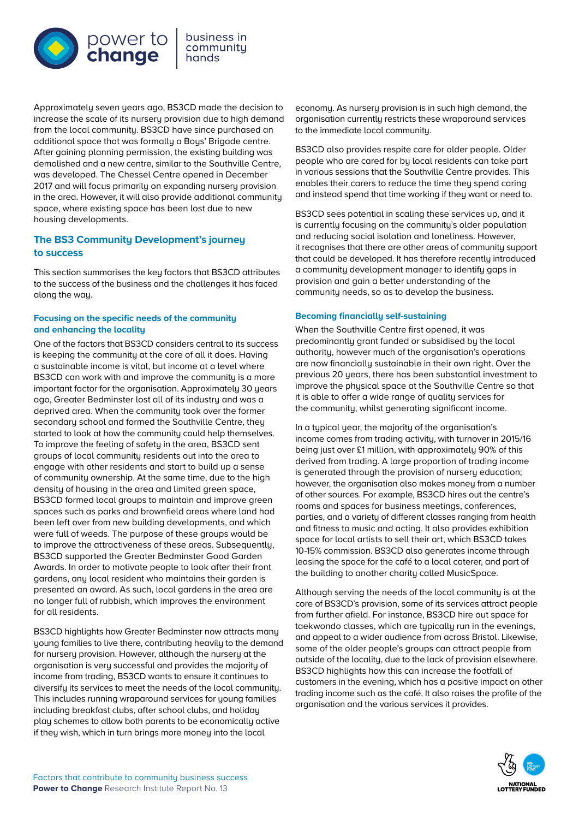

business in community hands

Approximately seven years ago, BS3CD made the decision to increase the scale of its nursery provision due to high demand from the local community. BS3CD have since purchased an additional space that was formally a Boys' Brigade centre. After gaining planning permission, the existing building was demolished and a new centre, similar to the Southville Centre, was developed. The Chessel Centre opened in December 2017 and will focus primarily on expanding nursery provision in the area. However, it will also provide additional community space, where existing space has been lost due to new housing developments.

# **The BS3 Community Development's journey to success**

This section summarises the key factors that BS3CD attributes to the success of the business and the challenges it has faced along the way.

#### **Focusing on the specific needs of the community and enhancing the locality**

One of the factors that BS3CD considers central to its success is keeping the community at the core of all it does. Having a sustainable income is vital, but income at a level where BS3CD can work with and improve the community is a more important factor for the organisation. Approximately 30 years ago, Greater Bedminster lost all of its industry and was a deprived area. When the community took over the former secondary school and formed the Southville Centre, they started to look at how the community could help themselves. To improve the feeling of safety in the area, BS3CD sent groups of local community residents out into the area to engage with other residents and start to build up a sense of community ownership. At the same time, due to the high density of housing in the area and limited green space, BS3CD formed local groups to maintain and improve green spaces such as parks and brownfield areas where land had been left over from new building developments, and which were full of weeds. The purpose of these groups would be to improve the attractiveness of these areas. Subsequently, BS3CD supported the Greater Bedminster Good Garden Awards. In order to motivate people to look after their front gardens, any local resident who maintains their garden is presented an award. As such, local gardens in the area are no longer full of rubbish, which improves the environment for all residents.

BS3CD highlights how Greater Bedminster now attracts many young families to live there, contributing heavily to the demand for nursery provision. However, although the nursery at the organisation is very successful and provides the majority of income from trading, BS3CD wants to ensure it continues to diversify its services to meet the needs of the local community. This includes running wraparound services for young families including breakfast clubs, after school clubs, and holiday play schemes to allow both parents to be economically active if they wish, which in turn brings more money into the local

economy. As nursery provision is in such high demand, the organisation currently restricts these wraparound services to the immediate local community.

BS3CD also provides respite care for older people. Older people who are cared for by local residents can take part in various sessions that the Southville Centre provides. This enables their carers to reduce the time they spend caring and instead spend that time working if they want or need to.

BS3CD sees potential in scaling these services up, and it is currently focusing on the community's older population and reducing social isolation and loneliness. However, it recognises that there are other areas of community support that could be developed. It has therefore recently introduced a community development manager to identify gaps in provision and gain a better understanding of the community needs, so as to develop the business.

## **Becoming financially self-sustaining**

When the Southville Centre first opened, it was predominantly grant funded or subsidised by the local authority, however much of the organisation's operations are now financially sustainable in their own right. Over the previous 20 years, there has been substantial investment to improve the physical space at the Southville Centre so that it is able to offer a wide range of quality services for the community, whilst generating significant income.

In a typical year, the majority of the organisation's income comes from trading activity, with turnover in 2015/16 being just over £1 million, with approximately 90% of this derived from trading. A large proportion of trading income is generated through the provision of nursery education; however, the organisation also makes money from a number of other sources. For example, BS3CD hires out the centre's rooms and spaces for business meetings, conferences, parties, and a variety of different classes ranging from health and fitness to music and acting. It also provides exhibition space for local artists to sell their art, which BS3CD takes 10-15% commission. BS3CD also generates income through leasing the space for the café to a local caterer, and part of the building to another charity called MusicSpace.

Although serving the needs of the local community is at the core of BS3CD's provision, some of its services attract people from further afield. For instance, BS3CD hire out space for taekwondo classes, which are typically run in the evenings, and appeal to a wider audience from across Bristol. Likewise, some of the older people's groups can attract people from outside of the locality, due to the lack of provision elsewhere. BS3CD highlights how this can increase the footfall of customers in the evening, which has a positive impact on other trading income such as the café. It also raises the profile of the organisation and the various services it provides.

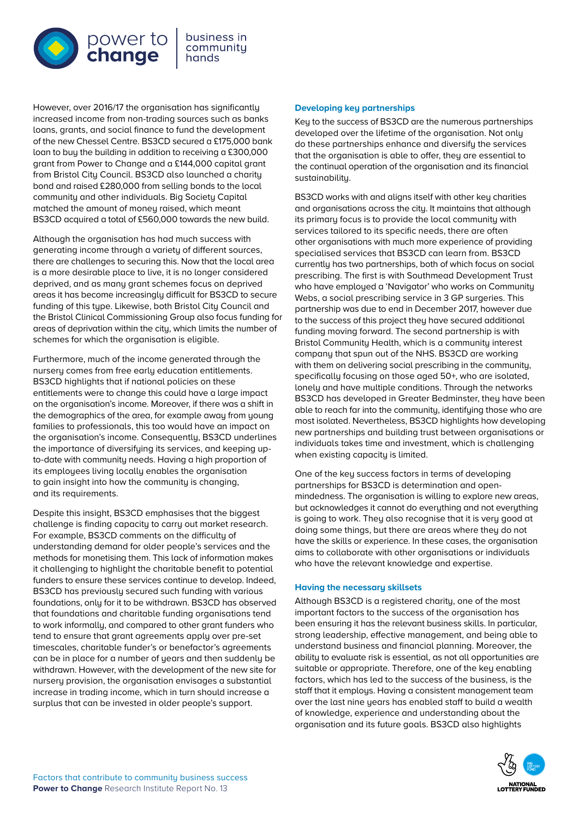

However, over 2016/17 the organisation has significantly increased income from non-trading sources such as banks loans, grants, and social finance to fund the development of the new Chessel Centre. BS3CD secured a £175,000 bank loan to buy the building in addition to receiving a £300,000 grant from Power to Change and a £144,000 capital grant from Bristol City Council. BS3CD also launched a charity bond and raised £280,000 from selling bonds to the local community and other individuals. Big Society Capital matched the amount of money raised, which meant BS3CD acquired a total of £560,000 towards the new build.

Although the organisation has had much success with generating income through a variety of different sources, there are challenges to securing this. Now that the local area is a more desirable place to live, it is no longer considered deprived, and as many grant schemes focus on deprived areas it has become increasingly difficult for BS3CD to secure funding of this type. Likewise, both Bristol City Council and the Bristol Clinical Commissioning Group also focus funding for areas of deprivation within the city, which limits the number of schemes for which the organisation is eligible.

Furthermore, much of the income generated through the nursery comes from free early education entitlements. BS3CD highlights that if national policies on these entitlements were to change this could have a large impact on the organisation's income. Moreover, if there was a shift in the demographics of the area, for example away from young families to professionals, this too would have an impact on the organisation's income. Consequently, BS3CD underlines the importance of diversifying its services, and keeping upto-date with community needs. Having a high proportion of its employees living locally enables the organisation to gain insight into how the community is changing, and its requirements.

Despite this insight, BS3CD emphasises that the biggest challenge is finding capacity to carry out market research. For example, BS3CD comments on the difficulty of understanding demand for older people's services and the methods for monetising them. This lack of information makes it challenging to highlight the charitable benefit to potential funders to ensure these services continue to develop. Indeed, BS3CD has previously secured such funding with various foundations, only for it to be withdrawn. BS3CD has observed that foundations and charitable funding organisations tend to work informally, and compared to other grant funders who tend to ensure that arant agreements apply over pre-set timescales, charitable funder's or benefactor's agreements can be in place for a number of years and then suddenly be withdrawn. However, with the development of the new site for nursery provision, the organisation envisages a substantial increase in trading income, which in turn should increase a surplus that can be invested in older people's support.

#### **Developing key partnerships**

Key to the success of BS3CD are the numerous partnerships developed over the lifetime of the organisation. Not only do these partnerships enhance and diversify the services that the organisation is able to offer, they are essential to the continual operation of the organisation and its financial sustainability.

BS3CD works with and aligns itself with other key charities and organisations across the city. It maintains that although its primary focus is to provide the local community with services tailored to its specific needs, there are often other organisations with much more experience of providing specialised services that BS3CD can learn from. BS3CD currently has two partnerships, both of which focus on social prescribing. The first is with Southmead Development Trust who have emploued a 'Navigator' who works on Community Webs, a social prescribing service in 3 GP surgeries. This partnership was due to end in December 2017, however due to the success of this project they have secured additional funding moving forward. The second partnership is with Bristol Community Health, which is a community interest company that spun out of the NHS. BS3CD are working with them on delivering social prescribing in the community, specifically focusing on those aged 50+, who are isolated, lonely and have multiple conditions. Through the networks BS3CD has developed in Greater Bedminster, they have been able to reach far into the community, identifying those who are most isolated. Nevertheless, BS3CD highlights how developing new partnerships and building trust between organisations or individuals takes time and investment, which is challenging when existing capacity is limited.

One of the key success factors in terms of developing partnerships for BS3CD is determination and openmindedness. The organisation is willing to explore new areas, but acknowledges it cannot do everything and not everything is going to work. They also recognise that it is very good at doing some things, but there are areas where they do not have the skills or experience. In these cases, the organisation aims to collaborate with other organisations or individuals who have the relevant knowledge and expertise.

#### **Having the necessary skillsets**

Although BS3CD is a registered charity, one of the most important factors to the success of the organisation has been ensuring it has the relevant business skills. In particular, strong leadership, effective management, and being able to understand business and financial planning. Moreover, the ability to evaluate risk is essential, as not all opportunities are suitable or appropriate. Therefore, one of the key enabling factors, which has led to the success of the business, is the staff that it emplous. Having a consistent management team over the last nine years has enabled staff to build a wealth of knowledge, experience and understanding about the organisation and its future goals. BS3CD also highlights